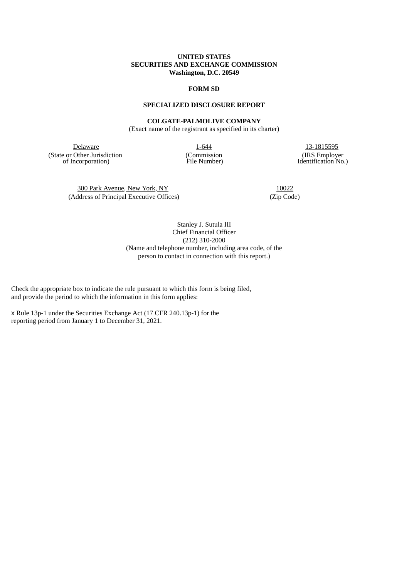# **UNITED STATES SECURITIES AND EXCHANGE COMMISSION Washington, D.C. 20549**

## **FORM SD**

# **SPECIALIZED DISCLOSURE REPORT**

#### **COLGATE-PALMOLIVE COMPANY**

(Exact name of the registrant as specified in its charter)

Delaware 1-644 13-1815595 (State or Other Jurisdiction of Incorporation)

(Commission File Number)

(IRS Employer Identification No.)

300 Park Avenue, New York, NY 10022 (Address of Principal Executive Offices) (Zip Code)

Stanley J. Sutula III Chief Financial Officer (212) 310-2000 (Name and telephone number, including area code, of the person to contact in connection with this report.)

Check the appropriate box to indicate the rule pursuant to which this form is being filed, and provide the period to which the information in this form applies:

x Rule 13p-1 under the Securities Exchange Act (17 CFR 240.13p-1) for the reporting period from January 1 to December 31, 2021.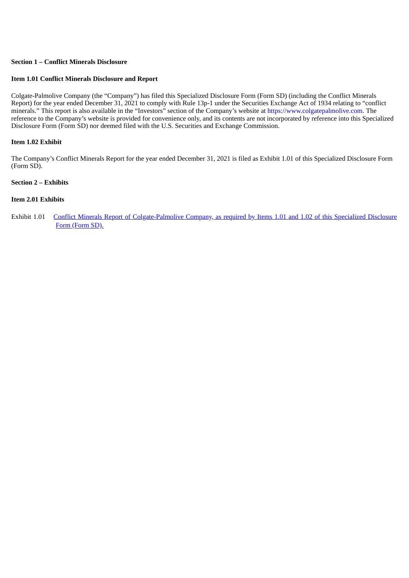# **Section 1 – Conflict Minerals Disclosure**

## **Item 1.01 Conflict Minerals Disclosure and Report**

Colgate-Palmolive Company (the "Company") has filed this Specialized Disclosure Form (Form SD) (including the Conflict Minerals Report) for the year ended December 31, 2021 to comply with Rule 13p-1 under the Securities Exchange Act of 1934 relating to "conflict minerals." This report is also available in the "Investors" section of the Company's website at https://www.colgatepalmolive.com. The reference to the Company's website is provided for convenience only, and its contents are not incorporated by reference into this Specialized Disclosure Form (Form SD) nor deemed filed with the U.S. Securities and Exchange Commission.

## **Item 1.02 Exhibit**

The Company's Conflict Minerals Report for the year ended December 31, 2021 is filed as Exhibit 1.01 of this Specialized Disclosure Form (Form SD).

# **Section 2 – Exhibits**

# **Item 2.01 Exhibits**

Exhibit 1.01 Conflict Minerals Report of [Colgate-Palmolive](#page-3-0) Company, as required by Items 1.01 and 1.02 of this Specialized Disclosure Form (Form SD).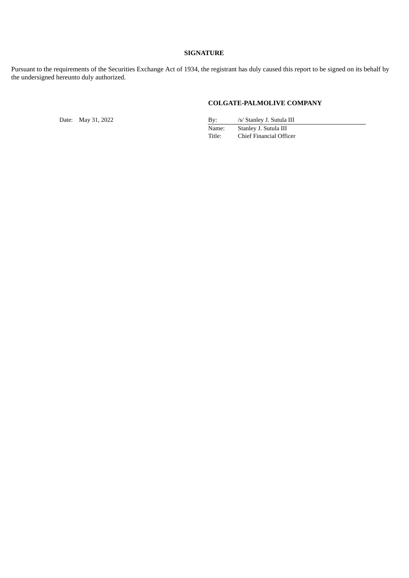# **SIGNATURE**

Pursuant to the requirements of the Securities Exchange Act of 1934, the registrant has duly caused this report to be signed on its behalf by the undersigned hereunto duly authorized.

# **COLGATE-PALMOLIVE COMPANY**

Date: May 31, 2022

| By:    | /s/ Stanley J. Sutula III |
|--------|---------------------------|
| Name:  | Stanley J. Sutula III     |
| Title: | Chief Financial Officer   |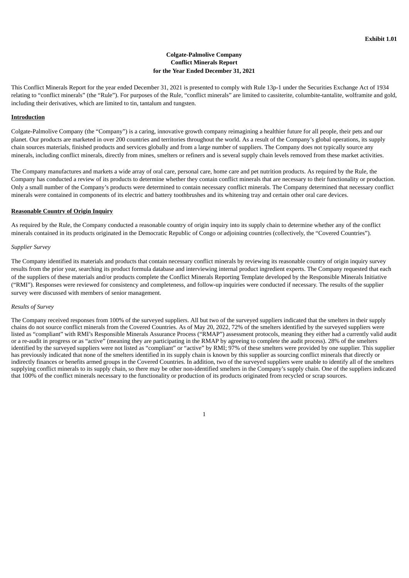# **Colgate-Palmolive Company Conflict Minerals Report for the Year Ended December 31, 2021**

<span id="page-3-0"></span>This Conflict Minerals Report for the year ended December 31, 2021 is presented to comply with Rule 13p-1 under the Securities Exchange Act of 1934 relating to "conflict minerals" (the "Rule"). For purposes of the Rule, "conflict minerals" are limited to cassiterite, columbite-tantalite, wolframite and gold, including their derivatives, which are limited to tin, tantalum and tungsten.

#### **Introduction**

Colgate-Palmolive Company (the "Company") is a caring, innovative growth company reimagining a healthier future for all people, their pets and our planet. Our products are marketed in over 200 countries and territories throughout the world. As a result of the Company's global operations, its supply chain sources materials, finished products and services globally and from a large number of suppliers. The Company does not typically source any minerals, including conflict minerals, directly from mines, smelters or refiners and is several supply chain levels removed from these market activities.

The Company manufactures and markets a wide array of oral care, personal care, home care and pet nutrition products. As required by the Rule, the Company has conducted a review of its products to determine whether they contain conflict minerals that are necessary to their functionality or production. Only a small number of the Company's products were determined to contain necessary conflict minerals. The Company determined that necessary conflict minerals were contained in components of its electric and battery toothbrushes and its whitening tray and certain other oral care devices.

#### **Reasonable Country of Origin Inquiry**

As required by the Rule, the Company conducted a reasonable country of origin inquiry into its supply chain to determine whether any of the conflict minerals contained in its products originated in the Democratic Republic of Congo or adjoining countries (collectively, the "Covered Countries").

#### *Supplier Survey*

The Company identified its materials and products that contain necessary conflict minerals by reviewing its reasonable country of origin inquiry survey results from the prior year, searching its product formula database and interviewing internal product ingredient experts. The Company requested that each of the suppliers of these materials and/or products complete the Conflict Minerals Reporting Template developed by the Responsible Minerals Initiative ("RMI"). Responses were reviewed for consistency and completeness, and follow-up inquiries were conducted if necessary. The results of the supplier survey were discussed with members of senior management.

#### *Results of Survey*

The Company received responses from 100% of the surveyed suppliers. All but two of the surveyed suppliers indicated that the smelters in their supply chains do not source conflict minerals from the Covered Countries. As of May 20, 2022, 72% of the smelters identified by the surveyed suppliers were listed as "compliant" with RMI's Responsible Minerals Assurance Process ("RMAP") assessment protocols, meaning they either had a currently valid audit or a re-audit in progress or as "active" (meaning they are participating in the RMAP by agreeing to complete the audit process). 28% of the smelters identified by the surveyed suppliers were not listed as "compliant" or "active" by RMI; 97% of these smelters were provided by one supplier. This supplier has previously indicated that none of the smelters identified in its supply chain is known by this supplier as sourcing conflict minerals that directly or indirectly finances or benefits armed groups in the Covered Countries. In addition, two of the surveyed suppliers were unable to identify all of the smelters supplying conflict minerals to its supply chain, so there may be other non-identified smelters in the Company's supply chain. One of the suppliers indicated that 100% of the conflict minerals necessary to the functionality or production of its products originated from recycled or scrap sources.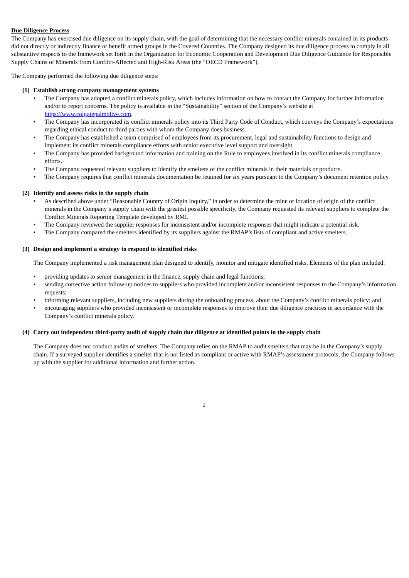## **Due Diligence Process**

The Company has exercised due diligence on its supply chain, with the goal of determining that the necessary conflict minerals contained in its products did not directly or indirectly finance or benefit armed groups in the Covered Countries. The Company designed its due diligence process to comply in all substantive respects to the framework set forth in the Organization for Economic Cooperation and Development Due Diligence Guidance for Responsible Supply Chains of Minerals from Conflict-Affected and High-Risk Areas (the "OECD Framework").

The Company performed the following due diligence steps:

## **(1) Establish strong company management systems**

- The Company has adopted a conflict minerals policy, which includes information on how to contact the Company for further information and/or to report concerns. The policy is available in the "Sustainability" section of the Company's website at https://www.colgatepalmolive.com.
- The Company has incorporated its conflict minerals policy into its Third Party Code of Conduct, which conveys the Company's expectations regarding ethical conduct to third parties with whom the Company does business.
- The Company has established a team comprised of employees from its procurement, legal and sustainability functions to design and implement its conflict minerals compliance efforts with senior executive level support and oversight.
- The Company has provided background information and training on the Rule to employees involved in its conflict minerals compliance efforts.
- The Company requested relevant suppliers to identify the smelters of the conflict minerals in their materials or products.
- The Company requires that conflict minerals documentation be retained for six years pursuant to the Company's document retention policy.

## **(2) Identify and assess risks in the supply chain**

- As described above under "Reasonable Country of Origin Inquiry," in order to determine the mine or location of origin of the conflict minerals in the Company's supply chain with the greatest possible specificity, the Company requested its relevant suppliers to complete the Conflict Minerals Reporting Template developed by RMI.
- The Company reviewed the supplier responses for inconsistent and/or incomplete responses that might indicate a potential risk.
- The Company compared the smelters identified by its suppliers against the RMAP's lists of compliant and active smelters.

## **(3) Design and implement a strategy to respond to identified risks**

The Company implemented a risk management plan designed to identify, monitor and mitigate identified risks. Elements of the plan included:

- providing updates to senior management in the finance, supply chain and legal functions;
- sending corrective action follow-up notices to suppliers who provided incomplete and/or inconsistent responses to the Company's information requests;
- informing relevant suppliers, including new suppliers during the onboarding process, about the Company's conflict minerals policy; and
- encouraging suppliers who provided inconsistent or incomplete responses to improve their due diligence practices in accordance with the Company's conflict minerals policy.

## (4) Carry out independent third-party audit of supply chain due diligence at identified points in the supply chain

The Company does not conduct audits of smelters. The Company relies on the RMAP to audit smelters that may be in the Company's supply chain. If a surveyed supplier identifies a smelter that is not listed as compliant or active with RMAP's assessment protocols, the Company follows up with the supplier for additional information and further action.

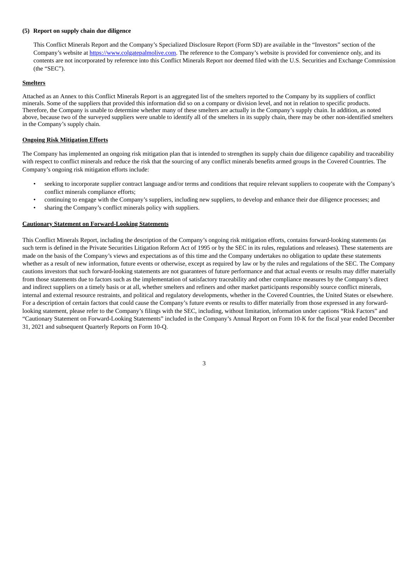## **(5) Report on supply chain due diligence**

This Conflict Minerals Report and the Company's Specialized Disclosure Report (Form SD) are available in the "Investors" section of the Company's website at https://www.colgatepalmolive.com. The reference to the Company's website is provided for convenience only, and its contents are not incorporated by reference into this Conflict Minerals Report nor deemed filed with the U.S. Securities and Exchange Commission (the "SEC").

#### **Smelters**

Attached as an Annex to this Conflict Minerals Report is an aggregated list of the smelters reported to the Company by its suppliers of conflict minerals. Some of the suppliers that provided this information did so on a company or division level, and not in relation to specific products. Therefore, the Company is unable to determine whether many of these smelters are actually in the Company's supply chain. In addition, as noted above, because two of the surveyed suppliers were unable to identify all of the smelters in its supply chain, there may be other non-identified smelters in the Company's supply chain.

#### **Ongoing Risk Mitigation Efforts**

The Company has implemented an ongoing risk mitigation plan that is intended to strengthen its supply chain due diligence capability and traceability with respect to conflict minerals and reduce the risk that the sourcing of any conflict minerals benefits armed groups in the Covered Countries. The Company's ongoing risk mitigation efforts include:

- seeking to incorporate supplier contract language and/or terms and conditions that require relevant suppliers to cooperate with the Company's conflict minerals compliance efforts;
- continuing to engage with the Company's suppliers, including new suppliers, to develop and enhance their due diligence processes; and
- sharing the Company's conflict minerals policy with suppliers.

#### **Cautionary Statement on Forward-Looking Statements**

This Conflict Minerals Report, including the description of the Company's ongoing risk mitigation efforts, contains forward-looking statements (as such term is defined in the Private Securities Litigation Reform Act of 1995 or by the SEC in its rules, regulations and releases). These statements are made on the basis of the Company's views and expectations as of this time and the Company undertakes no obligation to update these statements whether as a result of new information, future events or otherwise, except as required by law or by the rules and regulations of the SEC. The Company cautions investors that such forward-looking statements are not guarantees of future performance and that actual events or results may differ materially from those statements due to factors such as the implementation of satisfactory traceability and other compliance measures by the Company's direct and indirect suppliers on a timely basis or at all, whether smelters and refiners and other market participants responsibly source conflict minerals, internal and external resource restraints, and political and regulatory developments, whether in the Covered Countries, the United States or elsewhere. For a description of certain factors that could cause the Company's future events or results to differ materially from those expressed in any forwardlooking statement, please refer to the Company's filings with the SEC, including, without limitation, information under captions "Risk Factors" and "Cautionary Statement on Forward-Looking Statements" included in the Company's Annual Report on Form 10-K for the fiscal year ended December 31, 2021 and subsequent Quarterly Reports on Form 10-Q.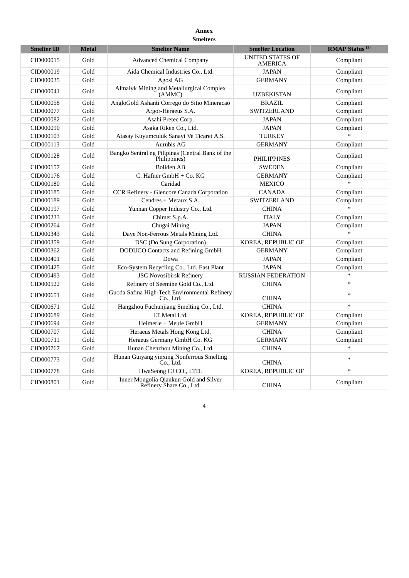# **Annex Smelters**

| <b>Smelter ID</b> | <b>Metal</b> | <b>Smelter Name</b>                                                | <b>Smelter Location</b>                   | <b>RMAP Status</b> <sup>(1)</sup> |
|-------------------|--------------|--------------------------------------------------------------------|-------------------------------------------|-----------------------------------|
| CID000015         | Gold         | <b>Advanced Chemical Company</b>                                   | <b>UNITED STATES OF</b><br><b>AMERICA</b> | Compliant                         |
| CID000019         | Gold         | Aida Chemical Industries Co., Ltd.                                 | <b>JAPAN</b>                              | Compliant                         |
| CID000035         | Gold         | Agosi AG                                                           | <b>GERMANY</b>                            | Compliant                         |
| CID000041         | Gold         | Almalyk Mining and Metallurgical Complex<br>(AMMC)                 | <b>UZBEKISTAN</b>                         | Compliant                         |
| CID000058         | Gold         | AngloGold Ashanti Corrego do Sitio Mineracao                       | <b>BRAZIL</b>                             | Compliant                         |
| CID000077         | Gold         | Argor-Heraeus S.A.                                                 | <b>SWITZERLAND</b>                        | Compliant                         |
| CID000082         | Gold         | Asahi Pretec Corp.                                                 | <b>JAPAN</b>                              | Compliant                         |
| CID000090         | Gold         | Asaka Riken Co., Ltd.                                              | <b>JAPAN</b>                              | Compliant                         |
| CID000103         | Gold         | Atasay Kuyumculuk Sanayi Ve Ticaret A.S.                           | <b>TURKEY</b>                             | ين.<br>ا                          |
| CID000113         | Gold         | Aurubis AG                                                         | <b>GERMANY</b>                            | Compliant                         |
| CID000128         | Gold         | Bangko Sentral ng Pilipinas (Central Bank of the<br>Philippines)   | <b>PHILIPPINES</b>                        | Compliant                         |
| CID000157         | Gold         | <b>Boliden AB</b>                                                  | <b>SWEDEN</b>                             | Compliant                         |
| CID000176         | Gold         | C. Hafner GmbH + Co. KG                                            | <b>GERMANY</b>                            | Compliant                         |
| CID000180         | Gold         | Caridad                                                            | <b>MEXICO</b>                             | $\mathbf{v}$                      |
| CID000185         | Gold         | CCR Refinery - Glencore Canada Corporation                         | CANADA                                    | Compliant                         |
| CID000189         | Gold         | Cendres + Metaux S.A.                                              | SWITZERLAND                               | Compliant                         |
| CID000197         | Gold         | Yunnan Copper Industry Co., Ltd.                                   | <b>CHINA</b>                              |                                   |
| CID000233         | Gold         | Chimet S.p.A.                                                      | <b>ITALY</b>                              | Compliant                         |
| CID000264         | Gold         | Chugai Mining                                                      | <b>JAPAN</b>                              | Compliant                         |
| CID000343         | Gold         | Daye Non-Ferrous Metals Mining Ltd.                                | <b>CHINA</b>                              |                                   |
| CID000359         | Gold         | DSC (Do Sung Corporation)                                          | KOREA, REPUBLIC OF                        | Compliant                         |
| CID000362         | Gold         | <b>DODUCO</b> Contacts and Refining GmbH                           | <b>GERMANY</b>                            | Compliant                         |
| CID000401         | Gold         | Dowa                                                               | <b>JAPAN</b>                              | Compliant                         |
| CID000425         | Gold         | Eco-System Recycling Co., Ltd. East Plant                          | <b>JAPAN</b>                              | Compliant                         |
| CID000493         | Gold         | <b>JSC Novosibirsk Refinery</b>                                    | <b>RUSSIAN FEDERATION</b>                 | $\ast$                            |
| CID000522         | Gold         | Refinery of Seemine Gold Co., Ltd.                                 | <b>CHINA</b>                              | $\ast$                            |
| CID000651         | Gold         | Guoda Safina High-Tech Environmental Refinery<br>Co., Ltd.         | <b>CHINA</b>                              | $\ast$                            |
| CID000671         | Gold         | Hangzhou Fuchunjiang Smelting Co., Ltd.                            | <b>CHINA</b>                              | $\ast$                            |
| CID000689         | Gold         | LT Metal Ltd.                                                      | KOREA, REPUBLIC OF                        | Compliant                         |
| CID000694         | Gold         | Heimerle + Meule GmbH                                              | <b>GERMANY</b>                            | Compliant                         |
| CID000707         | Gold         | Heraeus Metals Hong Kong Ltd.                                      | <b>CHINA</b>                              | Compliant                         |
| CID000711         | Gold         | Heraeus Germany GmbH Co. KG                                        | <b>GERMANY</b>                            | Compliant                         |
| CID000767         | Gold         | Hunan Chenzhou Mining Co., Ltd.                                    | <b>CHINA</b>                              | $\ast$                            |
| CID000773         | Gold         | Hunan Guiyang yinxing Nonferrous Smelting<br>Co., Ltd.             | <b>CHINA</b>                              | $\ast$                            |
| CID000778         | Gold         | HwaSeong CJ CO., LTD.                                              | KOREA, REPUBLIC OF                        | $\ast$                            |
| CID000801         | Gold         | Inner Mongolia Qiankun Gold and Silver<br>Refinery Share Co., Ltd. | <b>CHINA</b>                              | Compliant                         |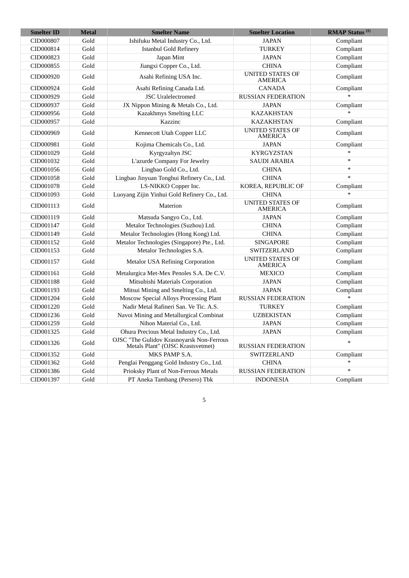| <b>Smelter ID</b> | <b>Metal</b> | <b>Smelter Name</b>                                                            | <b>Smelter Location</b>                   | <b>RMAP Status</b> <sup>(1)</sup> |
|-------------------|--------------|--------------------------------------------------------------------------------|-------------------------------------------|-----------------------------------|
| CID000807         | Gold         | Ishifuku Metal Industry Co., Ltd.                                              | <b>JAPAN</b>                              | Compliant                         |
| CID000814         | Gold         | <b>Istanbul Gold Refinery</b>                                                  | <b>TURKEY</b>                             | Compliant                         |
| CID000823         | Gold         | Japan Mint                                                                     | <b>JAPAN</b>                              | Compliant                         |
| CID000855         | Gold         | Jiangxi Copper Co., Ltd.                                                       | <b>CHINA</b>                              | Compliant                         |
| CID000920         | Gold         | Asahi Refining USA Inc.                                                        | <b>UNITED STATES OF</b><br><b>AMERICA</b> | Compliant                         |
| CID000924         | Gold         | Asahi Refining Canada Ltd.                                                     | <b>CANADA</b>                             | Compliant                         |
| CID000929         | Gold         | <b>JSC</b> Uralelectromed                                                      | <b>RUSSIAN FEDERATION</b>                 |                                   |
| CID000937         | Gold         | JX Nippon Mining & Metals Co., Ltd.                                            | <b>JAPAN</b>                              | Compliant                         |
| CID000956         | Gold         | Kazakhmys Smelting LLC                                                         | <b>KAZAKHSTAN</b>                         |                                   |
| CID000957         | Gold         | Kazzinc                                                                        | <b>KAZAKHSTAN</b>                         | Compliant                         |
| CID000969         | Gold         | Kennecott Utah Copper LLC                                                      | <b>UNITED STATES OF</b><br><b>AMERICA</b> | Compliant                         |
| CID000981         | Gold         | Kojima Chemicals Co., Ltd.                                                     | <b>JAPAN</b>                              | Compliant                         |
| CID001029         | Gold         | Kyrgyzaltyn JSC                                                                | <b>KYRGYZSTAN</b>                         |                                   |
| CID001032         | Gold         | L'azurde Company For Jewelry                                                   | <b>SAUDI ARABIA</b>                       | $\ast$                            |
| CID001056         | Gold         | Lingbao Gold Co., Ltd.                                                         | <b>CHINA</b>                              | $\ast$                            |
| CID001058         | Gold         | Lingbao Jinyuan Tonghui Refinery Co., Ltd.                                     | <b>CHINA</b>                              | $\ast$                            |
| CID001078         | Gold         | LS-NIKKO Copper Inc.                                                           | KOREA, REPUBLIC OF                        | Compliant                         |
| CID001093         | Gold         | Luoyang Zijin Yinhui Gold Refinery Co., Ltd.                                   | <b>CHINA</b>                              |                                   |
| CID001113         | Gold         | Materion                                                                       | <b>UNITED STATES OF</b><br><b>AMERICA</b> | Compliant                         |
| CID001119         | Gold         | Matsuda Sangyo Co., Ltd.                                                       | <b>JAPAN</b>                              | Compliant                         |
| CID001147         | Gold         | Metalor Technologies (Suzhou) Ltd.                                             | <b>CHINA</b>                              | Compliant                         |
| CID001149         | Gold         | Metalor Technologies (Hong Kong) Ltd.                                          | <b>CHINA</b>                              | Compliant                         |
| CID001152         | Gold         | Metalor Technologies (Singapore) Pte., Ltd.                                    | <b>SINGAPORE</b>                          | Compliant                         |
| CID001153         | Gold         | Metalor Technologies S.A.                                                      | SWITZERLAND                               | Compliant                         |
| CID001157         | Gold         | <b>Metalor USA Refining Corporation</b>                                        | <b>UNITED STATES OF</b><br>AMERICA        | Compliant                         |
| CID001161         | Gold         | Metalurgica Met-Mex Penoles S.A. De C.V.                                       | <b>MEXICO</b>                             | Compliant                         |
| CID001188         | Gold         | Mitsubishi Materials Corporation                                               | <b>JAPAN</b>                              | Compliant                         |
| CID001193         | Gold         | Mitsui Mining and Smelting Co., Ltd.                                           | <b>JAPAN</b>                              | Compliant                         |
| CID001204         | Gold         | Moscow Special Alloys Processing Plant                                         | <b>RUSSIAN FEDERATION</b>                 |                                   |
| CID001220         | Gold         | Nadir Metal Rafineri San. Ve Tic. A.S.                                         | <b>TURKEY</b>                             | Compliant                         |
| CID001236         | Gold         | Navoi Mining and Metallurgical Combinat                                        | <b>UZBEKISTAN</b>                         | Compliant                         |
| CID001259         | Gold         | Nihon Material Co., Ltd.                                                       | <b>JAPAN</b>                              | Compliant                         |
| CID001325         | Gold         | Ohura Precious Metal Industry Co., Ltd.                                        | <b>JAPAN</b>                              | Compliant                         |
| CID001326         | Gold         | OJSC "The Gulidov Krasnoyarsk Non-Ferrous<br>Metals Plant" (OJSC Krastsvetmet) | <b>RUSSIAN FEDERATION</b>                 | $\ast$                            |
| CID001352         | Gold         | MKS PAMP S.A.                                                                  | SWITZERLAND                               | Compliant                         |
| CID001362         | Gold         | Penglai Penggang Gold Industry Co., Ltd.                                       | <b>CHINA</b>                              |                                   |
| CID001386         | Gold         | Prioksky Plant of Non-Ferrous Metals                                           | <b>RUSSIAN FEDERATION</b>                 |                                   |
| CID001397         | Gold         | PT Aneka Tambang (Persero) Tbk                                                 | <b>INDONESIA</b>                          | Compliant                         |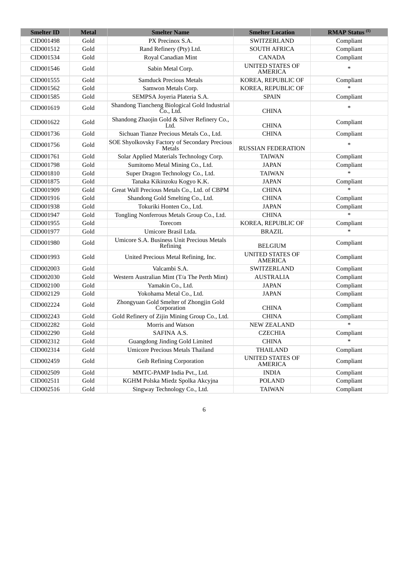| <b>Smelter ID</b> | <b>Metal</b> | <b>Smelter Name</b>                                        | <b>Smelter Location</b>                   | <b>RMAP Status</b> <sup>(1)</sup> |
|-------------------|--------------|------------------------------------------------------------|-------------------------------------------|-----------------------------------|
| CID001498         | Gold         | PX Precinox S.A.                                           | SWITZERLAND                               | Compliant                         |
| CID001512         | Gold         | Rand Refinery (Pty) Ltd.                                   | <b>SOUTH AFRICA</b>                       | Compliant                         |
| CID001534         | Gold         | Royal Canadian Mint                                        | <b>CANADA</b>                             | Compliant                         |
| CID001546         | Gold         | Sabin Metal Corp.                                          | <b>UNITED STATES OF</b><br>AMERICA        | $\ast$                            |
| CID001555         | Gold         | <b>Samduck Precious Metals</b>                             | KOREA, REPUBLIC OF                        | Compliant                         |
| CID001562         | Gold         | Samwon Metals Corp.                                        | KOREA, REPUBLIC OF                        |                                   |
| CID001585         | Gold         | SEMPSA Joyeria Plateria S.A.                               | <b>SPAIN</b>                              | Compliant                         |
| CID001619         | Gold         | Shandong Tiancheng Biological Gold Industrial<br>Čo., Ltd. | <b>CHINA</b>                              |                                   |
| CID001622         | Gold         | Shandong Zhaojin Gold & Silver Refinery Co.,<br>Ltd.       | <b>CHINA</b>                              | Compliant                         |
| CID001736         | Gold         | Sichuan Tianze Precious Metals Co., Ltd.                   | <b>CHINA</b>                              | Compliant                         |
| CID001756         | Gold         | SOE Shyolkovsky Factory of Secondary Precious<br>Metals    | <b>RUSSIAN FEDERATION</b>                 | $\ast$                            |
| CID001761         | Gold         | Solar Applied Materials Technology Corp.                   | <b>TAIWAN</b>                             | Compliant                         |
| CID001798         | Gold         | Sumitomo Metal Mining Co., Ltd.                            | <b>JAPAN</b>                              | Compliant                         |
| CID001810         | Gold         | Super Dragon Technology Co., Ltd.                          | <b>TAIWAN</b>                             | $\ast$                            |
| CID001875         | Gold         | Tanaka Kikinzoku Kogyo K.K.                                | <b>JAPAN</b>                              | Compliant                         |
| CID001909         | Gold         | Great Wall Precious Metals Co., Ltd. of CBPM               | <b>CHINA</b>                              | $\ast$                            |
| CID001916         | Gold         | Shandong Gold Smelting Co., Ltd.                           | <b>CHINA</b>                              | Compliant                         |
| CID001938         | Gold         | Tokuriki Honten Co., Ltd.                                  | <b>JAPAN</b>                              | Compliant                         |
| CID001947         | Gold         | Tongling Nonferrous Metals Group Co., Ltd.                 | <b>CHINA</b>                              | $\ddot{\phantom{0}}$              |
| CID001955         | Gold         | Torecom                                                    | KOREA, REPUBLIC OF                        | Compliant                         |
| CID001977         | Gold         | Umicore Brasil Ltda.                                       | <b>BRAZIL</b>                             | $\ast$                            |
| CID001980         | Gold         | Umicore S.A. Business Unit Precious Metals<br>Refining     | <b>BELGIUM</b>                            | Compliant                         |
| CID001993         | Gold         | United Precious Metal Refining, Inc.                       | <b>UNITED STATES OF</b><br><b>AMERICA</b> | Compliant                         |
| CID002003         | Gold         | Valcambi S.A.                                              | SWITZERLAND                               | Compliant                         |
| CID002030         | Gold         | Western Australian Mint (T/a The Perth Mint)               | <b>AUSTRALIA</b>                          | Compliant                         |
| CID002100         | Gold         | Yamakin Co., Ltd.                                          | <b>JAPAN</b>                              | Compliant                         |
| CID002129         | Gold         | Yokohama Metal Co., Ltd.                                   | <b>JAPAN</b>                              | Compliant                         |
| CID002224         | Gold         | Zhongyuan Gold Smelter of Zhongjin Gold<br>Corporation     | <b>CHINA</b>                              | Compliant                         |
| CID002243         | Gold         | Gold Refinery of Zijin Mining Group Co., Ltd.              | <b>CHINA</b>                              | Compliant                         |
| CID002282         | Gold         | Morris and Watson                                          | <b>NEW ZEALAND</b>                        |                                   |
| CID002290         | Gold         | SAFINA A.S.                                                | <b>CZECHIA</b>                            | Compliant                         |
| CID002312         | Gold         | Guangdong Jinding Gold Limited                             | <b>CHINA</b>                              | $\ast$                            |
| CID002314         | Gold         | <b>Umicore Precious Metals Thailand</b>                    | <b>THAILAND</b>                           | Compliant                         |
| CID002459         | Gold         | <b>Geib Refining Corporation</b>                           | <b>UNITED STATES OF</b><br><b>AMERICA</b> | Compliant                         |
| CID002509         | Gold         | MMTC-PAMP India Pvt., Ltd.                                 | <b>INDIA</b>                              | Compliant                         |
| CID002511         | Gold         | KGHM Polska Miedz Spolka Akcyjna                           | <b>POLAND</b>                             | Compliant                         |
| CID002516         | Gold         | Singway Technology Co., Ltd.                               | <b>TAIWAN</b>                             | Compliant                         |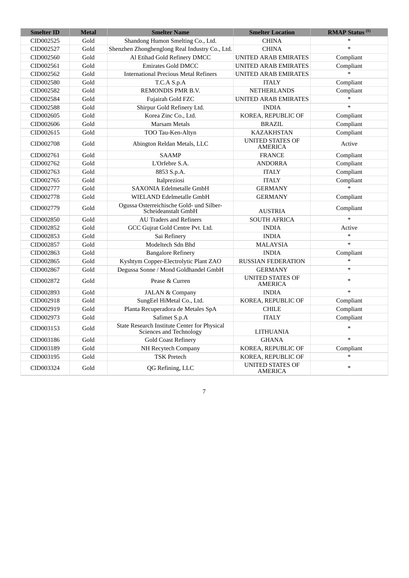| <b>Smelter ID</b> | <b>Metal</b> | <b>Smelter Name</b>                                                            | <b>Smelter Location</b>                   | <b>RMAP Status</b> <sup>(1)</sup> |
|-------------------|--------------|--------------------------------------------------------------------------------|-------------------------------------------|-----------------------------------|
| CID002525         | Gold         | Shandong Humon Smelting Co., Ltd.                                              | <b>CHINA</b>                              | $\ast$                            |
| CID002527         | Gold         | Shenzhen Zhonghenglong Real Industry Co., Ltd.                                 | <b>CHINA</b>                              | $\ast$                            |
| CID002560         | Gold         | Al Etihad Gold Refinery DMCC                                                   | <b>UNITED ARAB EMIRATES</b>               | Compliant                         |
| CID002561         | Gold         | <b>Emirates Gold DMCC</b>                                                      | <b>UNITED ARAB EMIRATES</b>               | Compliant                         |
| CID002562         | Gold         | <b>International Precious Metal Refiners</b>                                   | <b>UNITED ARAB EMIRATES</b>               |                                   |
| CID002580         | Gold         | T.C.A S.p.A                                                                    | <b>ITALY</b>                              | Compliant                         |
| CID002582         | Gold         | REMONDIS PMR B.V.                                                              | <b>NETHERLANDS</b>                        | Compliant                         |
| CID002584         | Gold         | Fujairah Gold FZC                                                              | <b>UNITED ARAB EMIRATES</b>               |                                   |
| CID002588         | Gold         | Shirpur Gold Refinery Ltd.                                                     | <b>INDIA</b>                              | $\ast$                            |
| CID002605         | Gold         | Korea Zinc Co., Ltd.                                                           | KOREA, REPUBLIC OF                        | Compliant                         |
| CID002606         | Gold         | <b>Marsam Metals</b>                                                           | <b>BRAZIL</b>                             | Compliant                         |
| CID002615         | Gold         | TOO Tau-Ken-Altyn                                                              | <b>KAZAKHSTAN</b>                         | Compliant                         |
| CID002708         | Gold         | Abington Reldan Metals, LLC                                                    | <b>UNITED STATES OF</b><br><b>AMERICA</b> | Active                            |
| CID002761         | Gold         | <b>SAAMP</b>                                                                   | <b>FRANCE</b>                             | Compliant                         |
| CID002762         | Gold         | L'Orfebre S.A.                                                                 | <b>ANDORRA</b>                            | Compliant                         |
| CID002763         | Gold         | 8853 S.p.A.                                                                    | <b>ITALY</b>                              | Compliant                         |
| CID002765         | Gold         | Italpreziosi                                                                   | <b>ITALY</b>                              | Compliant                         |
| CID002777         | Gold         | <b>SAXONIA Edelmetalle GmbH</b>                                                | <b>GERMANY</b>                            |                                   |
| CID002778         | Gold         | WIELAND Edelmetalle GmbH                                                       | <b>GERMANY</b>                            | Compliant                         |
| CID002779         | Gold         | Ogussa Osterreichische Gold- und Silber-<br>Scheideanstalt GmbH                | <b>AUSTRIA</b>                            | Compliant                         |
| CID002850         | Gold         | <b>AU Traders and Refiners</b>                                                 | <b>SOUTH AFRICA</b>                       |                                   |
| CID002852         | Gold         | GCC Gujrat Gold Centre Pvt. Ltd.                                               | <b>INDIA</b>                              | Active                            |
| CID002853         | Gold         | Sai Refinery                                                                   | <b>INDIA</b>                              | $\ast$                            |
| CID002857         | Gold         | Modeltech Sdn Bhd                                                              | <b>MALAYSIA</b>                           | $\ast$                            |
| CID002863         | Gold         | <b>Bangalore Refinery</b>                                                      | <b>INDIA</b>                              | Compliant                         |
| CID002865         | Gold         | Kyshtym Copper-Electrolytic Plant ZAO                                          | <b>RUSSIAN FEDERATION</b>                 |                                   |
| CID002867         | Gold         | Degussa Sonne / Mond Goldhandel GmbH                                           | <b>GERMANY</b>                            | $\ast$                            |
| CID002872         | Gold         | Pease & Curren                                                                 | <b>UNITED STATES OF</b><br><b>AMERICA</b> | $\ast$                            |
| CID002893         | Gold         | <b>JALAN &amp; Company</b>                                                     | <b>INDIA</b>                              | $\ast$                            |
| CID002918         | Gold         | SungEel HiMetal Co., Ltd.                                                      | KOREA, REPUBLIC OF                        | Compliant                         |
| CID002919         | Gold         | Planta Recuperadora de Metales SpA                                             | <b>CHILE</b>                              | Compliant                         |
| CID002973         | Gold         | Safimet S.p.A                                                                  | <b>ITALY</b>                              | Compliant                         |
| CID003153         | Gold         | State Research Institute Center for Physical<br><b>Sciences and Technology</b> | <b>LITHUANIA</b>                          |                                   |
| CID003186         | Gold         | <b>Gold Coast Refinery</b>                                                     | <b>GHANA</b>                              | $\ast$                            |
| CID003189         | Gold         | NH Recytech Company                                                            | KOREA, REPUBLIC OF                        | Compliant                         |
| CID003195         | Gold         | <b>TSK Pretech</b>                                                             | KOREA, REPUBLIC OF                        | $\ast$                            |
| CID003324         | Gold         | QG Refining, LLC                                                               | <b>UNITED STATES OF</b><br><b>AMERICA</b> | $\ast$                            |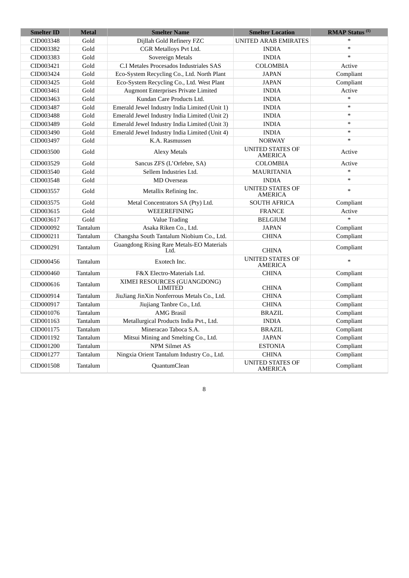| <b>Smelter ID</b> | <b>Metal</b>          | <b>Smelter Name</b>                               | <b>Smelter Location</b>                   | <b>RMAP Status</b> <sup>(1)</sup> |
|-------------------|-----------------------|---------------------------------------------------|-------------------------------------------|-----------------------------------|
| CID003348         | Gold                  | Dijllah Gold Refinery FZC                         | <b>UNITED ARAB EMIRATES</b>               | $\ast$                            |
| CID003382         | Gold                  | CGR Metalloys Pvt Ltd.                            | <b>INDIA</b>                              | $\ast$                            |
| CID003383         | Gold                  | Sovereign Metals                                  | <b>INDIA</b>                              | $\ast$                            |
| CID003421         | Gold                  | C.I Metales Procesados Industriales SAS           | <b>COLOMBIA</b>                           | Active                            |
| CID003424         | $\operatorname{Gold}$ | Eco-System Recycling Co., Ltd. North Plant        | <b>JAPAN</b>                              | Compliant                         |
| CID003425         | Gold                  | Eco-System Recycling Co., Ltd. West Plant         | <b>JAPAN</b>                              | Compliant                         |
| CID003461         | Gold                  | Augmont Enterprises Private Limited               | <b>INDIA</b>                              | Active                            |
| CID003463         | Gold                  | Kundan Care Products Ltd.                         | <b>INDIA</b>                              | $\ast$                            |
| CID003487         | Gold                  | Emerald Jewel Industry India Limited (Unit 1)     | <b>INDIA</b>                              | $\ast$                            |
| CID003488         | Gold                  | Emerald Jewel Industry India Limited (Unit 2)     | <b>INDIA</b>                              | $\ast$                            |
| CID003489         | Gold                  | Emerald Jewel Industry India Limited (Unit 3)     | <b>INDIA</b>                              | $\ast$                            |
| CID003490         | Gold                  | Emerald Jewel Industry India Limited (Unit 4)     | <b>INDIA</b>                              | $\ast$                            |
| CID003497         | Gold                  | K.A. Rasmussen                                    | <b>NORWAY</b>                             | $\ast$                            |
| CID003500         | Gold                  | <b>Alexy Metals</b>                               | <b>UNITED STATES OF</b><br>AMERICA        | Active                            |
| CID003529         | Gold                  | Sancus ZFS (L'Orfebre, SA)                        | COLOMBIA                                  | Active                            |
| CID003540         | Gold                  | Sellem Industries Ltd.                            | <b>MAURITANIA</b>                         | $\ast$                            |
| CID003548         | Gold                  | <b>MD</b> Overseas                                | <b>INDIA</b>                              | $\ast$                            |
| CID003557         | Gold                  | Metallix Refining Inc.                            | <b>UNITED STATES OF</b><br><b>AMERICA</b> | $\ast$                            |
| CID003575         | Gold                  | Metal Concentrators SA (Pty) Ltd.                 | <b>SOUTH AFRICA</b>                       | Compliant                         |
| CID003615         | Gold                  | WEEEREFINING                                      | <b>FRANCE</b>                             | Active                            |
| CID003617         | Gold                  | <b>Value Trading</b>                              | <b>BELGIUM</b>                            |                                   |
| CID000092         | Tantalum              | Asaka Riken Co., Ltd.                             | <b>JAPAN</b>                              | Compliant                         |
| CID000211         | Tantalum              | Changsha South Tantalum Niobium Co., Ltd.         | <b>CHINA</b>                              | Compliant                         |
| CID000291         | Tantalum              | Guangdong Rising Rare Metals-EO Materials<br>Ltd. | <b>CHINA</b>                              | Compliant                         |
| CID000456         | Tantalum              | Exotech Inc.                                      | <b>UNITED STATES OF</b><br><b>AMERICA</b> | $\ast$                            |
| CID000460         | Tantalum              | F&X Electro-Materials Ltd.                        | <b>CHINA</b>                              | Compliant                         |
| CID000616         | Tantalum              | XIMEI RESOURCES (GUANGDONG)<br><b>LIMITED</b>     | <b>CHINA</b>                              | Compliant                         |
| CID000914         | Tantalum              | JiuJiang JinXin Nonferrous Metals Co., Ltd.       | <b>CHINA</b>                              | Compliant                         |
| CID000917         | Tantalum              | Jiujiang Tanbre Co., Ltd.                         | <b>CHINA</b>                              | Compliant                         |
| CID001076         | Tantalum              | <b>AMG</b> Brasil                                 | <b>BRAZIL</b>                             | Compliant                         |
| CID001163         | Tantalum              | Metallurgical Products India Pvt., Ltd.           | <b>INDIA</b>                              | Compliant                         |
| CID001175         | Tantalum              | Mineracao Taboca S.A.                             | <b>BRAZIL</b>                             | Compliant                         |
| CID001192         | Tantalum              | Mitsui Mining and Smelting Co., Ltd.              | <b>JAPAN</b>                              | Compliant                         |
| CID001200         | Tantalum              | <b>NPM Silmet AS</b>                              | <b>ESTONIA</b>                            | Compliant                         |
| CID001277         | Tantalum              | Ningxia Orient Tantalum Industry Co., Ltd.        | <b>CHINA</b>                              | Compliant                         |
| CID001508         | Tantalum              | <b>QuantumClean</b>                               | <b>UNITED STATES OF</b><br><b>AMERICA</b> | Compliant                         |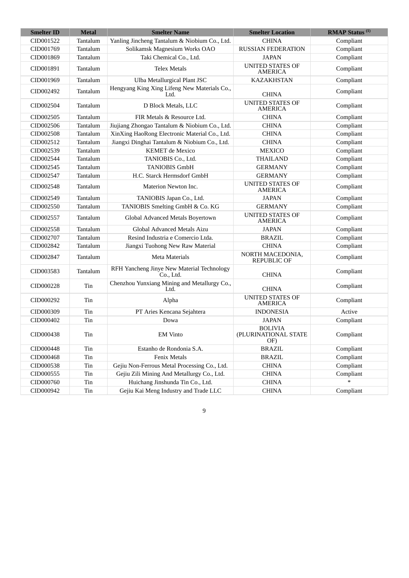| <b>Smelter ID</b> | <b>Metal</b> | <b>Smelter Name</b>                                     | <b>Smelter Location</b>                       | <b>RMAP Status</b> <sup>(1)</sup> |
|-------------------|--------------|---------------------------------------------------------|-----------------------------------------------|-----------------------------------|
| CID001522         | Tantalum     | Yanling Jincheng Tantalum & Niobium Co., Ltd.           | <b>CHINA</b>                                  | Compliant                         |
| CID001769         | Tantalum     | Solikamsk Magnesium Works OAO                           | <b>RUSSIAN FEDERATION</b>                     | Compliant                         |
| CID001869         | Tantalum     | Taki Chemical Co., Ltd.                                 | <b>JAPAN</b>                                  | Compliant                         |
| CID001891         | Tantalum     | <b>Telex Metals</b>                                     | <b>UNITED STATES OF</b><br>AMERICA            | Compliant                         |
| CID001969         | Tantalum     | Ulba Metallurgical Plant JSC                            | <b>KAZAKHSTAN</b>                             | Compliant                         |
| CID002492         | Tantalum     | Hengyang King Xing Lifeng New Materials Co.,<br>Ltd.    | <b>CHINA</b>                                  | Compliant                         |
| CID002504         | Tantalum     | D Block Metals, LLC                                     | <b>UNITED STATES OF</b><br><b>AMERICA</b>     | Compliant                         |
| CID002505         | Tantalum     | FIR Metals & Resource Ltd.                              | <b>CHINA</b>                                  | Compliant                         |
| CID002506         | Tantalum     | Jiujiang Zhongao Tantalum & Niobium Co., Ltd.           | <b>CHINA</b>                                  | Compliant                         |
| CID002508         | Tantalum     | XinXing HaoRong Electronic Material Co., Ltd.           | <b>CHINA</b>                                  | Compliant                         |
| CID002512         | Tantalum     | Jiangxi Dinghai Tantalum & Niobium Co., Ltd.            | <b>CHINA</b>                                  | Compliant                         |
| CID002539         | Tantalum     | <b>KEMET</b> de Mexico                                  | <b>MEXICO</b>                                 | Compliant                         |
| CID002544         | Tantalum     | TANIOBIS Co., Ltd.                                      | <b>THAILAND</b>                               | Compliant                         |
| CID002545         | Tantalum     | <b>TANIOBIS GmbH</b>                                    | <b>GERMANY</b>                                | Compliant                         |
| CID002547         | Tantalum     | H.C. Starck Hermsdorf GmbH                              | <b>GERMANY</b>                                | Compliant                         |
| CID002548         | Tantalum     | Materion Newton Inc.                                    | <b>UNITED STATES OF</b><br><b>AMERICA</b>     | Compliant                         |
| CID002549         | Tantalum     | TANIOBIS Japan Co., Ltd.                                | <b>JAPAN</b>                                  | Compliant                         |
| CID002550         | Tantalum     | TANIOBIS Smelting GmbH & Co. KG                         | <b>GERMANY</b>                                | Compliant                         |
| CID002557         | Tantalum     | Global Advanced Metals Boyertown                        | <b>UNITED STATES OF</b><br><b>AMERICA</b>     | Compliant                         |
| CID002558         | Tantalum     | Global Advanced Metals Aizu                             | <b>JAPAN</b>                                  | Compliant                         |
| CID002707         | Tantalum     | Resind Industria e Comercio Ltda.                       | <b>BRAZIL</b>                                 | Compliant                         |
| CID002842         | Tantalum     | Jiangxi Tuohong New Raw Material                        | <b>CHINA</b>                                  | Compliant                         |
| CID002847         | Tantalum     | <b>Meta Materials</b>                                   | NORTH MACEDONIA,<br><b>REPUBLIC OF</b>        | Compliant                         |
| CID003583         | Tantalum     | RFH Yancheng Jinye New Material Technology<br>Co., Ltd. | <b>CHINA</b>                                  | Compliant                         |
| CID000228         | Tin          | Chenzhou Yunxiang Mining and Metallurgy Co.,<br>Ltd.    | <b>CHINA</b>                                  | Compliant                         |
| CID000292         | Tin          | Alpha                                                   | <b>UNITED STATES OF</b><br>AMERICA            | Compliant                         |
| CID000309         | Tin          | PT Aries Kencana Sejahtera                              | <b>INDONESIA</b>                              | Active                            |
| CID000402         | Tin          | Dowa                                                    | <b>JAPAN</b>                                  | Compliant                         |
| CID000438         | Tin          | <b>EM Vinto</b>                                         | <b>BOLIVIA</b><br>(PLURINATIONAL STATE<br>OF) | Compliant                         |
| CID000448         | Tin          | Estanho de Rondonia S.A.                                | <b>BRAZIL</b>                                 | Compliant                         |
| CID000468         | Tin          | <b>Fenix Metals</b>                                     | <b>BRAZIL</b>                                 | Compliant                         |
| CID000538         | Tin          | Gejiu Non-Ferrous Metal Processing Co., Ltd.            | <b>CHINA</b>                                  | Compliant                         |
| CID000555         | Tin          | Gejiu Zili Mining And Metallurgy Co., Ltd.              | <b>CHINA</b>                                  | Compliant                         |
| CID000760         | $\rm \, Tin$ | Huichang Jinshunda Tin Co., Ltd.                        | <b>CHINA</b>                                  | $\ast$                            |
| CID000942         | $\rm \, Tin$ | Gejiu Kai Meng Industry and Trade LLC                   | <b>CHINA</b>                                  | Compliant                         |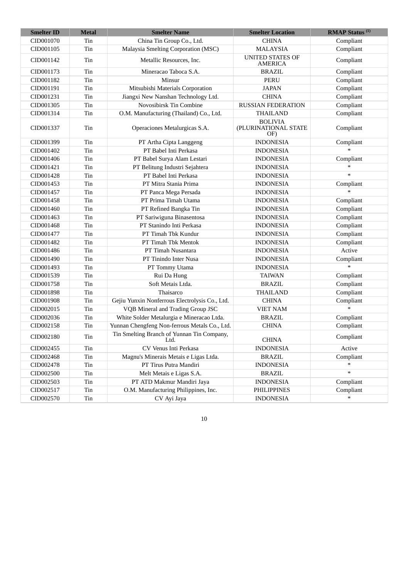| <b>Smelter ID</b> | <b>Metal</b> | <b>Smelter Name</b>                                | <b>Smelter Location</b>                       | <b>RMAP Status</b> <sup>(1)</sup> |
|-------------------|--------------|----------------------------------------------------|-----------------------------------------------|-----------------------------------|
| CID001070         | Tin          | China Tin Group Co., Ltd.                          | <b>CHINA</b>                                  | Compliant                         |
| CID001105         | Tin          | Malaysia Smelting Corporation (MSC)                | <b>MALAYSIA</b>                               | Compliant                         |
| CID001142         | Tin          | Metallic Resources, Inc.                           | <b>UNITED STATES OF</b><br><b>AMERICA</b>     | Compliant                         |
| CID001173         | Tin          | Mineracao Taboca S.A.                              | <b>BRAZIL</b>                                 | Compliant                         |
| CID001182         | Tin          | Minsur                                             | <b>PERU</b>                                   | Compliant                         |
| CID001191         | Tin          | Mitsubishi Materials Corporation                   | <b>JAPAN</b>                                  | Compliant                         |
| CID001231         | Tin          | Jiangxi New Nanshan Technology Ltd.                | <b>CHINA</b>                                  | Compliant                         |
| CID001305         | Tin          | Novosibirsk Tin Combine                            | <b>RUSSIAN FEDERATION</b>                     | Compliant                         |
| CID001314         | Tin          | O.M. Manufacturing (Thailand) Co., Ltd.            | <b>THAILAND</b>                               | Compliant                         |
| CID001337         | Tin          | Operaciones Metalurgicas S.A.                      | <b>BOLIVIA</b><br>(PLURINATIONAL STATE<br>OF) | Compliant                         |
| CID001399         | Tin          | PT Artha Cipta Langgeng                            | <b>INDONESIA</b>                              | Compliant                         |
| CID001402         | Tin          | PT Babel Inti Perkasa                              | <b>INDONESIA</b>                              | s.                                |
| CID001406         | Tin          | PT Babel Surya Alam Lestari                        | <b>INDONESIA</b>                              | Compliant                         |
| CID001421         | Tin          | PT Belitung Industri Sejahtera                     | <b>INDONESIA</b>                              | $\ast$                            |
| CID001428         | Tin          | PT Babel Inti Perkasa                              | <b>INDONESIA</b>                              | $\ast$                            |
| CID001453         | Tin          | PT Mitra Stania Prima                              | <b>INDONESIA</b>                              | Compliant                         |
| CID001457         | Tin          | PT Panca Mega Persada                              | <b>INDONESIA</b>                              | $\ast$                            |
| CID001458         | Tin          | PT Prima Timah Utama                               | <b>INDONESIA</b>                              | Compliant                         |
| CID001460         | Tin          | PT Refined Bangka Tin                              | <b>INDONESIA</b>                              | Compliant                         |
| CID001463         | Tin          | PT Sariwiguna Binasentosa                          | <b>INDONESIA</b>                              | Compliant                         |
| CID001468         | Tin          | PT Stanindo Inti Perkasa                           | <b>INDONESIA</b>                              | Compliant                         |
| CID001477         | Tin          | PT Timah Tbk Kundur                                | <b>INDONESIA</b>                              | Compliant                         |
| CID001482         | Tin          | PT Timah Tbk Mentok                                | <b>INDONESIA</b>                              | Compliant                         |
| CID001486         | Tin          | PT Timah Nusantara                                 | <b>INDONESIA</b>                              | Active                            |
| CID001490         | Tin          | PT Tinindo Inter Nusa                              | <b>INDONESIA</b>                              | Compliant                         |
| CID001493         | Tin          | PT Tommy Utama                                     | <b>INDONESIA</b>                              | $\ast$                            |
| CID001539         | Tin          | Rui Da Hung                                        | <b>TAIWAN</b>                                 | Compliant                         |
| CID001758         | Tin          | Soft Metais Ltda.                                  | <b>BRAZIL</b>                                 | Compliant                         |
| CID001898         | Tin          | Thaisarco                                          | THAILAND                                      | Compliant                         |
| CID001908         | Tin          | Gejiu Yunxin Nonferrous Electrolysis Co., Ltd.     | <b>CHINA</b>                                  | Compliant                         |
| CID002015         | Tin          | VQB Mineral and Trading Group JSC                  | VIET NAM                                      | $\ast$                            |
| CID002036         | Tin          | White Solder Metalurgia e Mineracao Ltda.          | <b>BRAZIL</b>                                 | Compliant                         |
| CID002158         | Tin          | Yunnan Chengfeng Non-ferrous Metals Co., Ltd.      | <b>CHINA</b>                                  | Compliant                         |
| CID002180         | Tin          | Tin Smelting Branch of Yunnan Tin Company,<br>Ltd. | <b>CHINA</b>                                  | Compliant                         |
| CID002455         | Tin          | CV Venus Inti Perkasa                              | <b>INDONESIA</b>                              | Active                            |
| CID002468         | Tin          | Magnu's Minerais Metais e Ligas Ltda.              | <b>BRAZIL</b>                                 | Compliant                         |
| CID002478         | Tin          | PT Tirus Putra Mandiri                             | <b>INDONESIA</b>                              | $\ast$                            |
| CID002500         | Tin          | Melt Metais e Ligas S.A.                           | <b>BRAZIL</b>                                 | $\ast$                            |
| CID002503         | Tin          | PT ATD Makmur Mandiri Jaya                         | <b>INDONESIA</b>                              | Compliant                         |
| CID002517         | Tin          | O.M. Manufacturing Philippines, Inc.               | PHILIPPINES                                   | Compliant                         |
| CID002570         | Tin          | CV Ayi Jaya                                        | <b>INDONESIA</b>                              | $\ast$                            |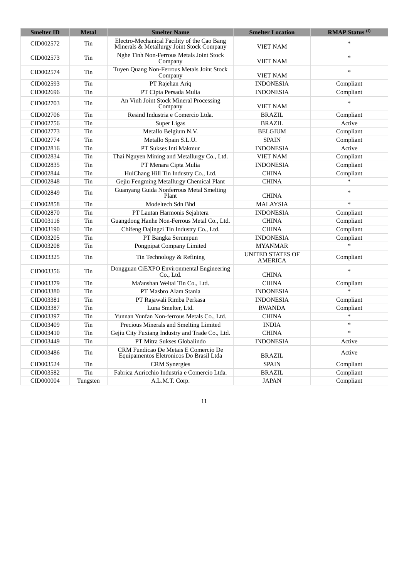| <b>Smelter ID</b> | <b>Metal</b> | <b>Smelter Name</b>                                                                      | <b>Smelter Location</b>                   | <b>RMAP Status</b> <sup>(1)</sup> |
|-------------------|--------------|------------------------------------------------------------------------------------------|-------------------------------------------|-----------------------------------|
| CID002572         | Tin          | Electro-Mechanical Facility of the Cao Bang<br>Minerals & Metallurgy Joint Stock Company | <b>VIET NAM</b>                           |                                   |
| CID002573         | Tin          | Nghe Tinh Non-Ferrous Metals Joint Stock<br>Company                                      | <b>VIET NAM</b>                           | $\ast$                            |
| CID002574         | Tin          | Tuyen Quang Non-Ferrous Metals Joint Stock<br>Company                                    | <b>VIET NAM</b>                           | ×                                 |
| CID002593         | Tin          | PT Rajehan Ariq                                                                          | <b>INDONESIA</b>                          | Compliant                         |
| CID002696         | Tin          | PT Cipta Persada Mulia                                                                   | <b>INDONESIA</b>                          | Compliant                         |
| CID002703         | Tin          | An Vinh Joint Stock Mineral Processing<br>Company                                        | VIET NAM                                  |                                   |
| CID002706         | Tin          | Resind Industria e Comercio Ltda.                                                        | <b>BRAZIL</b>                             | Compliant                         |
| CID002756         | Tin          | Super Ligas                                                                              | <b>BRAZIL</b>                             | Active                            |
| CID002773         | Tin          | Metallo Belgium N.V.                                                                     | <b>BELGIUM</b>                            | Compliant                         |
| CID002774         | Tin          | Metallo Spain S.L.U.                                                                     | <b>SPAIN</b>                              | Compliant                         |
| CID002816         | Tin          | PT Sukses Inti Makmur                                                                    | <b>INDONESIA</b>                          | Active                            |
| CID002834         | Tin          | Thai Nguyen Mining and Metallurgy Co., Ltd.                                              | <b>VIET NAM</b>                           | Compliant                         |
| CID002835         | Tin          | PT Menara Cipta Mulia                                                                    | <b>INDONESIA</b>                          | Compliant                         |
| CID002844         | Tin          | HuiChang Hill Tin Industry Co., Ltd.                                                     | <b>CHINA</b>                              | Compliant                         |
| CID002848         | Tin          | Gejiu Fengming Metallurgy Chemical Plant                                                 | <b>CHINA</b>                              | $\ast$                            |
| CID002849         | Tin          | Guanyang Guida Nonferrous Metal Smelting<br>Plant                                        | <b>CHINA</b>                              | $\ast$                            |
| CID002858         | Tin          | Modeltech Sdn Bhd                                                                        | <b>MALAYSIA</b>                           | $\ast$                            |
| CID002870         | Tin          | PT Lautan Harmonis Sejahtera                                                             | <b>INDONESIA</b>                          | Compliant                         |
| CID003116         | Tin          | Guangdong Hanhe Non-Ferrous Metal Co., Ltd.                                              | <b>CHINA</b>                              | Compliant                         |
| CID003190         | Tin          | Chifeng Dajingzi Tin Industry Co., Ltd.                                                  | <b>CHINA</b>                              | Compliant                         |
| CID003205         | Tin          | PT Bangka Serumpun                                                                       | <b>INDONESIA</b>                          | Compliant                         |
| CID003208         | Tin          | Pongpipat Company Limited                                                                | <b>MYANMAR</b>                            | $\ast$                            |
| CID003325         | Tin          | Tin Technology & Refining                                                                | <b>UNITED STATES OF</b><br><b>AMERICA</b> | Compliant                         |
| CID003356         | Tin          | Dongguan CiEXPO Environmental Engineering<br>Co., Ltd.                                   | <b>CHINA</b>                              |                                   |
| CID003379         | Tin          | Ma'anshan Weitai Tin Co., Ltd.                                                           | <b>CHINA</b>                              | Compliant                         |
| CID003380         | Tin          | PT Masbro Alam Stania                                                                    | <b>INDONESIA</b>                          |                                   |
| CID003381         | Tin          | PT Rajawali Rimba Perkasa                                                                | <b>INDONESIA</b>                          | Compliant                         |
| CID003387         | Tin          | Luna Smelter, Ltd.                                                                       | <b>RWANDA</b>                             | Compliant                         |
| CID003397         | Tin          | Yunnan Yunfan Non-ferrous Metals Co., Ltd.                                               | <b>CHINA</b>                              |                                   |
| CID003409         | Tin          | Precious Minerals and Smelting Limited                                                   | <b>INDIA</b>                              | $\ast$                            |
| CID003410         | Tin          | Gejiu City Fuxiang Industry and Trade Co., Ltd.                                          | <b>CHINA</b>                              | $\ast$                            |
| CID003449         | Tin          | PT Mitra Sukses Globalindo                                                               | <b>INDONESIA</b>                          | Active                            |
| CID003486         | Tin          | CRM Fundicao De Metais E Comercio De<br>Equipamentos Eletronicos Do Brasil Ltda          | <b>BRAZIL</b>                             | Active                            |
| CID003524         | Tin          | <b>CRM</b> Synergies                                                                     | <b>SPAIN</b>                              | Compliant                         |
| CID003582         | Tin          | Fabrica Auricchio Industria e Comercio Ltda.                                             | <b>BRAZIL</b>                             | Compliant                         |
| CID000004         | Tungsten     | A.L.M.T. Corp.                                                                           | <b>JAPAN</b>                              | Compliant                         |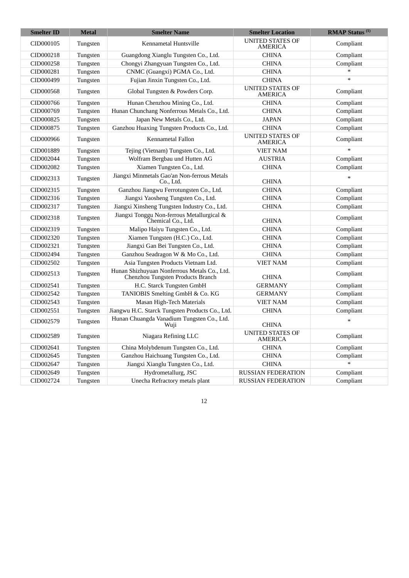| <b>Smelter ID</b> | <b>Metal</b> | <b>Smelter Name</b>                                                               | <b>Smelter Location</b>                   | <b>RMAP Status</b> <sup>(1)</sup> |
|-------------------|--------------|-----------------------------------------------------------------------------------|-------------------------------------------|-----------------------------------|
| CID000105         | Tungsten     | Kennametal Huntsville                                                             | <b>UNITED STATES OF</b><br><b>AMERICA</b> | Compliant                         |
| CID000218         | Tungsten     | Guangdong Xianglu Tungsten Co., Ltd.                                              | <b>CHINA</b>                              | Compliant                         |
| CID000258         | Tungsten     | Chongyi Zhangyuan Tungsten Co., Ltd.                                              | <b>CHINA</b>                              | Compliant                         |
| CID000281         | Tungsten     | CNMC (Guangxi) PGMA Co., Ltd.                                                     | <b>CHINA</b>                              | $\ast$                            |
| CID000499         | Tungsten     | Fujian Jinxin Tungsten Co., Ltd.                                                  | <b>CHINA</b>                              | $\ast$                            |
| CID000568         | Tungsten     | Global Tungsten & Powders Corp.                                                   | UNITED STATES OF<br><b>AMERICA</b>        | Compliant                         |
| CID000766         | Tungsten     | Hunan Chenzhou Mining Co., Ltd.                                                   | <b>CHINA</b>                              | Compliant                         |
| CID000769         | Tungsten     | Hunan Chunchang Nonferrous Metals Co., Ltd.                                       | <b>CHINA</b>                              | Compliant                         |
| CID000825         | Tungsten     | Japan New Metals Co., Ltd.                                                        | <b>JAPAN</b>                              | Compliant                         |
| CID000875         | Tungsten     | Ganzhou Huaxing Tungsten Products Co., Ltd.                                       | <b>CHINA</b>                              | Compliant                         |
| CID000966         | Tungsten     | Kennametal Fallon                                                                 | <b>UNITED STATES OF</b><br><b>AMERICA</b> | Compliant                         |
| CID001889         | Tungsten     | Tejing (Vietnam) Tungsten Co., Ltd.                                               | <b>VIET NAM</b>                           |                                   |
| CID002044         | Tungsten     | Wolfram Bergbau und Hutten AG                                                     | <b>AUSTRIA</b>                            | Compliant                         |
| CID002082         | Tungsten     | Xiamen Tungsten Co., Ltd.                                                         | <b>CHINA</b>                              | Compliant                         |
| CID002313         | Tungsten     | Jiangxi Minmetals Gao'an Non-ferrous Metals<br>Co., Ltd.                          | <b>CHINA</b>                              |                                   |
| CID002315         | Tungsten     | Ganzhou Jiangwu Ferrotungsten Co., Ltd.                                           | <b>CHINA</b>                              | Compliant                         |
| CID002316         | Tungsten     | Jiangxi Yaosheng Tungsten Co., Ltd.                                               | <b>CHINA</b>                              | Compliant                         |
| CID002317         | Tungsten     | Jiangxi Xinsheng Tungsten Industry Co., Ltd.                                      | <b>CHINA</b>                              | Compliant                         |
| CID002318         | Tungsten     | Jiangxi Tonggu Non-ferrous Metallurgical &<br>Chemical Co., Ltd.                  | <b>CHINA</b>                              | Compliant                         |
| CID002319         | Tungsten     | Malipo Haiyu Tungsten Co., Ltd.                                                   | <b>CHINA</b>                              | Compliant                         |
| CID002320         | Tungsten     | Xiamen Tungsten (H.C.) Co., Ltd.                                                  | <b>CHINA</b>                              | Compliant                         |
| CID002321         | Tungsten     | Jiangxi Gan Bei Tungsten Co., Ltd.                                                | <b>CHINA</b>                              | Compliant                         |
| CID002494         | Tungsten     | Ganzhou Seadragon W & Mo Co., Ltd.                                                | <b>CHINA</b>                              | Compliant                         |
| CID002502         | Tungsten     | Asia Tungsten Products Vietnam Ltd.                                               | <b>VIET NAM</b>                           | Compliant                         |
| CID002513         | Tungsten     | Hunan Shizhuyuan Nonferrous Metals Co., Ltd.<br>Chenzhou Tungsten Products Branch | <b>CHINA</b>                              | Compliant                         |
| CID002541         | Tungsten     | H.C. Starck Tungsten GmbH                                                         | <b>GERMANY</b>                            | Compliant                         |
| CID002542         | Tungsten     | TANIOBIS Smelting GmbH & Co. KG                                                   | <b>GERMANY</b>                            | Compliant                         |
| CID002543         | Tungsten     | Masan High-Tech Materials                                                         | <b>VIET NAM</b>                           | Compliant                         |
| CID002551         | Tungsten     | Jiangwu H.C. Starck Tungsten Products Co., Ltd.                                   | <b>CHINA</b>                              | Compliant                         |
| CID002579         | Tungsten     | Hunan Chuangda Vanadium Tungsten Co., Ltd.<br>Wuji                                | <b>CHINA</b>                              | ىد                                |
| CID002589         | Tungsten     | Niagara Refining LLC                                                              | <b>UNITED STATES OF</b><br><b>AMERICA</b> | Compliant                         |
| CID002641         | Tungsten     | China Molybdenum Tungsten Co., Ltd.                                               | <b>CHINA</b>                              | Compliant                         |
| CID002645         | Tungsten     | Ganzhou Haichuang Tungsten Co., Ltd.                                              | <b>CHINA</b>                              | Compliant                         |
| CID002647         | Tungsten     | Jiangxi Xianglu Tungsten Co., Ltd.                                                | <b>CHINA</b>                              |                                   |
| CID002649         | Tungsten     | Hydrometallurg, JSC                                                               | <b>RUSSIAN FEDERATION</b>                 | Compliant                         |
| CID002724         | Tungsten     | Unecha Refractory metals plant                                                    | <b>RUSSIAN FEDERATION</b>                 | Compliant                         |